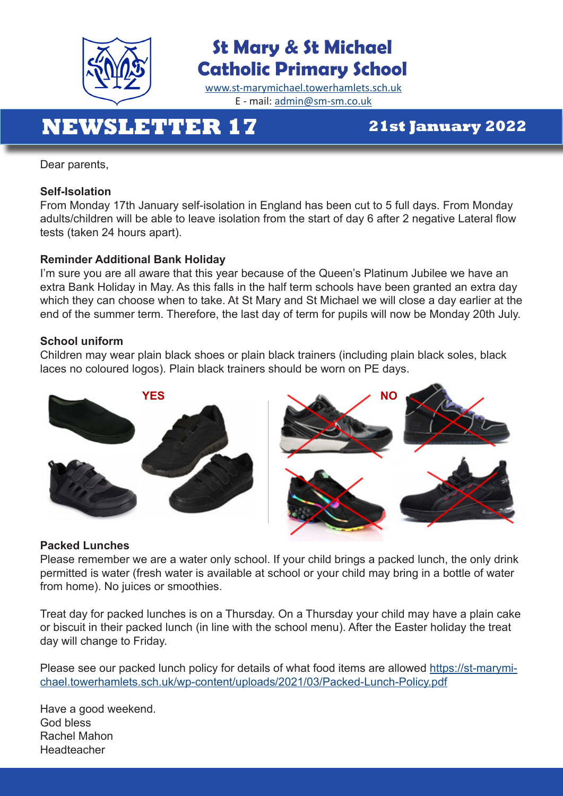

### **St Mary & St Michael Catholic Primary School**

[www.st-marymichael.towerhamlets.sch.uk](http://www.st-marymichael.towerhamlets.sch.uk)  E - mail: [admin@sm-sm.co.uk](http://admin@sm-sm.co.uk)

## **NEWSLETTER 17 21st January 2022**

Dear parents,

### **Self-Isolation**

From Monday 17th January self-isolation in England has been cut to 5 full days. From Monday adults/children will be able to leave isolation from the start of day 6 after 2 negative Lateral flow tests (taken 24 hours apart).

### **Reminder Additional Bank Holiday**

I'm sure you are all aware that this year because of the Queen's Platinum Jubilee we have an extra Bank Holiday in May. As this falls in the half term schools have been granted an extra day which they can choose when to take. At St Mary and St Michael we will close a day earlier at the end of the summer term. Therefore, the last day of term for pupils will now be Monday 20th July.

#### **School uniform**

Children may wear plain black shoes or plain black trainers (including plain black soles, black laces no coloured logos). Plain black trainers should be worn on PE days.





### **Packed Lunches**

Please remember we are a water only school. If your child brings a packed lunch, the only drink permitted is water (fresh water is available at school or your child may bring in a bottle of water from home). No juices or smoothies.

Treat day for packed lunches is on a Thursday. On a Thursday your child may have a plain cake or biscuit in their packed lunch (in line with the school menu). After the Easter holiday the treat day will change to Friday.

Please see our packed lunch policy for details of what food items are allowed [https://st-marymi](https://st-marymichael.towerhamlets.sch.uk/wp-content/uploads/2021/03/Packed-Lunch-Policy.pdf)[chael.towerhamlets.sch.uk/wp-content/uploads/2021/03/Packed-Lunch-Policy.pdf](https://st-marymichael.towerhamlets.sch.uk/wp-content/uploads/2021/03/Packed-Lunch-Policy.pdf)

Have a good weekend. God bless Rachel Mahon Headteacher